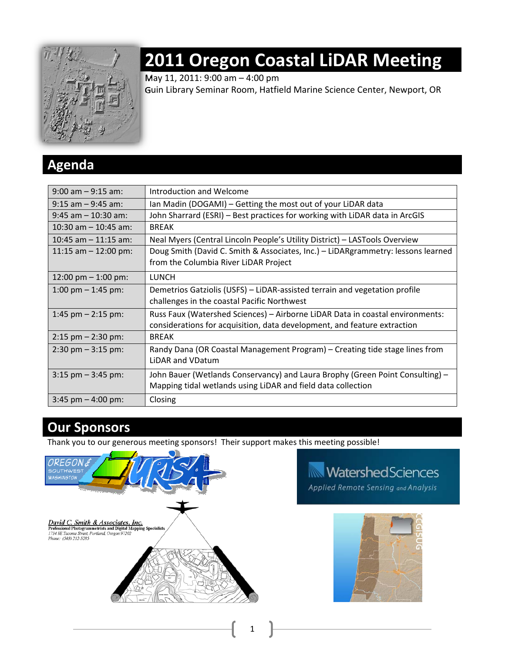

# **2011 Oregon Coastal LiDAR Meeting**

May 11, 2011: 9:00 am – 4:00 pm

Guin Library Seminar Room, Hatfield Marine Science Center, Newport, OR

## **Agenda**

| $9:00$ am $-9:15$ am:               | Introduction and Welcome                                                                                                                                  |
|-------------------------------------|-----------------------------------------------------------------------------------------------------------------------------------------------------------|
| $9:15$ am $-9:45$ am:               | Ian Madin (DOGAMI) – Getting the most out of your LiDAR data                                                                                              |
| $9:45$ am $-10:30$ am:              | John Sharrard (ESRI) - Best practices for working with LiDAR data in ArcGIS                                                                               |
| 10:30 am $-$ 10:45 am:              | <b>BREAK</b>                                                                                                                                              |
| 10:45 am $-$ 11:15 am:              | Neal Myers (Central Lincoln People's Utility District) - LASTools Overview                                                                                |
| 11:15 am $-$ 12:00 pm:              | Doug Smith (David C. Smith & Associates, Inc.) - LiDARgrammetry: lessons learned<br>from the Columbia River LiDAR Project                                 |
| 12:00 pm $-$ 1:00 pm:               | <b>LUNCH</b>                                                                                                                                              |
| 1:00 pm $-$ 1:45 pm:                | Demetrios Gatziolis (USFS) – LiDAR-assisted terrain and vegetation profile<br>challenges in the coastal Pacific Northwest                                 |
| 1:45 pm $-$ 2:15 pm:                | Russ Faux (Watershed Sciences) - Airborne LiDAR Data in coastal environments:<br>considerations for acquisition, data development, and feature extraction |
| $2:15$ pm $-2:30$ pm:               | <b>BREAK</b>                                                                                                                                              |
| $2:30 \text{ pm} - 3:15 \text{ pm}$ | Randy Dana (OR Coastal Management Program) – Creating tide stage lines from<br>LiDAR and VDatum                                                           |
| $3:15$ pm $-3:45$ pm:               | John Bauer (Wetlands Conservancy) and Laura Brophy (Green Point Consulting) -<br>Mapping tidal wetlands using LiDAR and field data collection             |
| $3:45$ pm $-4:00$ pm:               | Closing                                                                                                                                                   |

1

# **Our Sponsors**

Thank you to our generous meeting sponsors! Their support makes this meeting possible!



# **WatershedSciences**

Applied Remote Sensing and Analysis

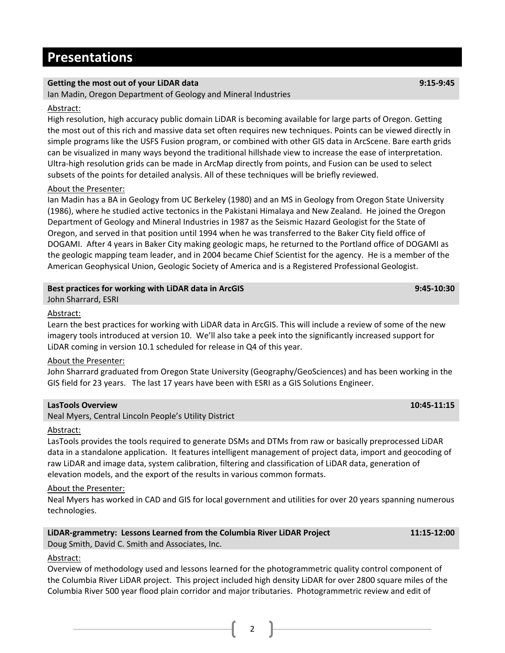## **Presentations**

### **Getting the most out of your LiDAR data 9:15‐9:45**

Ian Madin, Oregon Department of Geology and Mineral Industries

### Abstract:

High resolution, high accuracy public domain LiDAR is becoming available for large parts of Oregon. Getting the most out of this rich and massive data set often requires new techniques. Points can be viewed directly in simple programs like the USFS Fusion program, or combined with other GIS data in ArcScene. Bare earth grids can be visualized in many ways beyond the traditional hillshade view to increase the ease of interpretation. Ultra‐high resolution grids can be made in ArcMap directly from points, and Fusion can be used to select subsets of the points for detailed analysis. All of these techniques will be briefly reviewed.

### About the Presenter:

Ian Madin has a BA in Geology from UC Berkeley (1980) and an MS in Geology from Oregon State University (1986), where he studied active tectonics in the Pakistani Himalaya and New Zealand. He joined the Oregon Department of Geology and Mineral Industries in 1987 as the Seismic Hazard Geologist for the State of Oregon, and served in that position until 1994 when he was transferred to the Baker City field office of DOGAMI. After 4 years in Baker City making geologic maps, he returned to the Portland office of DOGAMI as the geologic mapping team leader, and in 2004 became Chief Scientist for the agency. He is a member of the American Geophysical Union, Geologic Society of America and is a Registered Professional Geologist.

### **Best practices for working with LiDAR data in ArcGIS 9:45‐10:30**

John Sharrard, ESRI

### Abstract:

Learn the best practices for working with LiDAR data in ArcGIS. This will include a review of some of the new imagery tools introduced at version 10. We'll also take a peek into the significantly increased support for LiDAR coming in version 10.1 scheduled for release in Q4 of this year.

### About the Presenter:

John Sharrard graduated from Oregon State University (Geography/GeoSciences) and has been working in the GIS field for 23 years. The last 17 years have been with ESRI as a GIS Solutions Engineer.

### **LasTools Overview 10:45‐11:15**

Neal Myers, Central Lincoln People's Utility District

### Abstract:

LasTools provides the tools required to generate DSMs and DTMs from raw or basically preprocessed LiDAR data in a standalone application. It features intelligent management of project data, import and geocoding of raw LiDAR and image data, system calibration, filtering and classification of LiDAR data, generation of elevation models, and the export of the results in various common formats.

### About the Presenter:

Neal Myers has worked in CAD and GIS for local government and utilities for over 20 years spanning numerous technologies.

### **LiDAR‐grammetry: Lessons Learned from the Columbia River LiDAR Project 11:15‐12:00** Doug Smith, David C. Smith and Associates, Inc.

Abstract:

Overview of methodology used and lessons learned for the photogrammetric quality control component of the Columbia River LiDAR project. This project included high density LiDAR for over 2800 square miles of the Columbia River 500 year flood plain corridor and major tributaries. Photogrammetric review and edit of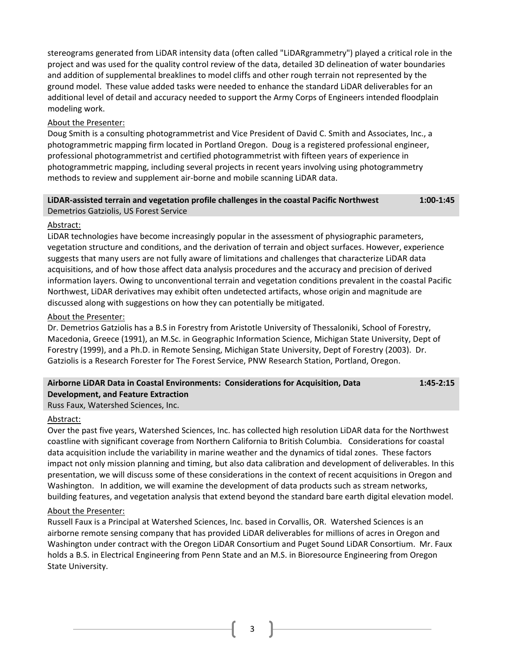stereograms generated from LiDAR intensity data (often called "LiDARgrammetry") played a critical role in the project and was used for the quality control review of the data, detailed 3D delineation of water boundaries and addition of supplemental breaklines to model cliffs and other rough terrain not represented by the ground model. These value added tasks were needed to enhance the standard LiDAR deliverables for an additional level of detail and accuracy needed to support the Army Corps of Engineers intended floodplain modeling work.

### About the Presenter:

Doug Smith is a consulting photogrammetrist and Vice President of David C. Smith and Associates, Inc., a photogrammetric mapping firm located in Portland Oregon. Doug is a registered professional engineer, professional photogrammetrist and certified photogrammetrist with fifteen years of experience in photogrammetric mapping, including several projects in recent years involving using photogrammetry methods to review and supplement air‐borne and mobile scanning LiDAR data.

### **LiDAR‐assisted terrain and vegetation profile challenges in the coastal Pacific Northwest 1:00‐1:45** Demetrios Gatziolis, US Forest Service

### Abstract:

LiDAR technologies have become increasingly popular in the assessment of physiographic parameters, vegetation structure and conditions, and the derivation of terrain and object surfaces. However, experience suggests that many users are not fully aware of limitations and challenges that characterize LiDAR data acquisitions, and of how those affect data analysis procedures and the accuracy and precision of derived information layers. Owing to unconventional terrain and vegetation conditions prevalent in the coastal Pacific Northwest, LiDAR derivatives may exhibit often undetected artifacts, whose origin and magnitude are discussed along with suggestions on how they can potentially be mitigated.

### About the Presenter:

Dr. Demetrios Gatziolis has a B.S in Forestry from Aristotle University of Thessaloniki, School of Forestry, Macedonia, Greece (1991), an M.Sc. in Geographic Information Science, Michigan State University, Dept of Forestry (1999), and a Ph.D. in Remote Sensing, Michigan State University, Dept of Forestry (2003). Dr. Gatziolis is a Research Forester for The Forest Service, PNW Research Station, Portland, Oregon.

### **Airborne LiDAR Data in Coastal Environments: Considerations for Acquisition, Data Development, and Feature Extraction 1:45‐2:15**

Russ Faux, Watershed Sciences, Inc.

### Abstract:

Over the past five years, Watershed Sciences, Inc. has collected high resolution LiDAR data for the Northwest coastline with significant coverage from Northern California to British Columbia. Considerations for coastal data acquisition include the variability in marine weather and the dynamics of tidal zones. These factors impact not only mission planning and timing, but also data calibration and development of deliverables. In this presentation, we will discuss some of these considerations in the context of recent acquisitions in Oregon and Washington. In addition, we will examine the development of data products such as stream networks, building features, and vegetation analysis that extend beyond the standard bare earth digital elevation model.

### About the Presenter:

Russell Faux is a Principal at Watershed Sciences, Inc. based in Corvallis, OR. Watershed Sciences is an airborne remote sensing company that has provided LiDAR deliverables for millions of acres in Oregon and Washington under contract with the Oregon LiDAR Consortium and Puget Sound LiDAR Consortium. Mr. Faux holds a B.S. in Electrical Engineering from Penn State and an M.S. in Bioresource Engineering from Oregon State University.

3